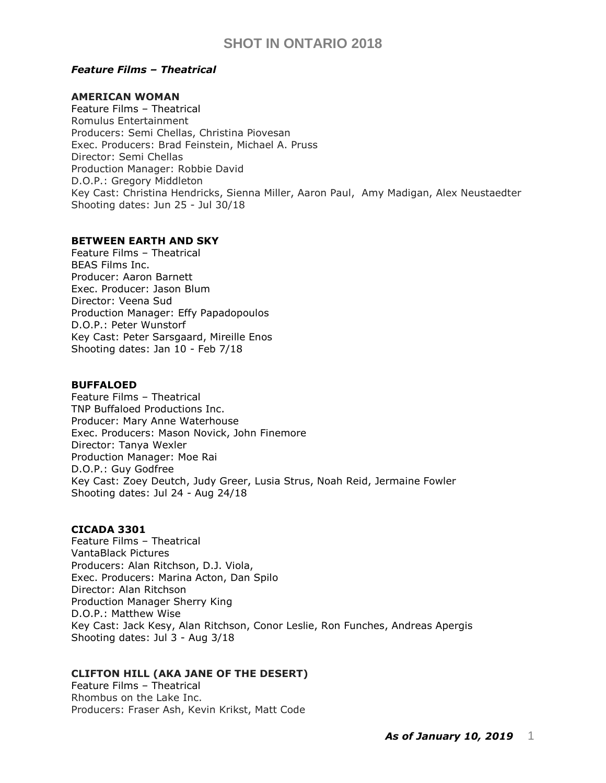## *Feature Films – Theatrical*

#### **AMERICAN WOMAN**

Feature Films – Theatrical [Romulus Entertainment](https://pro.imdb.com/company/co0539689/?ref_=tt_cc_nm_1) Producers: Semi Chellas, Christina Piovesan Exec. Producers: [Brad Feinstein,](https://pro.imdb.com/name/nm3223094/) [Michael A. Pruss](https://pro.imdb.com/name/nm2165590/) Director: Semi Chellas Production Manager: Robbie David D.O.P.: Gregory Middleton Key Cast: [Christina Hendricks,](https://pro.imdb.com/name/nm0376716/) [Sienna Miller,](https://pro.imdb.com/name/nm1092227/) [Aaron Paul,](https://pro.imdb.com/name/nm0666739/) [Amy Madigan,](https://pro.imdb.com/name/nm0001496/) [Alex Neustaedter](https://pro.imdb.com/name/nm2614237/) Shooting dates: Jun 25 - Jul 30/18

## **BETWEEN EARTH AND SKY**

Feature Films – Theatrical BEAS Films Inc. Producer: Aaron Barnett Exec. Producer: Jason Blum Director: Veena Sud Production Manager: Effy Papadopoulos D.O.P.: Peter Wunstorf Key Cast: Peter Sarsgaard, Mireille Enos Shooting dates: Jan 10 - Feb 7/18

#### **BUFFALOED**

Feature Films – Theatrical TNP Buffaloed Productions Inc. Producer: Mary Anne Waterhouse Exec. Producers: Mason Novick, John Finemore Director: Tanya Wexler Production Manager: Moe Rai D.O.P.: Guy Godfree Key Cast: [Zoey Deutch,](https://pro.imdb.com/name/nm3614913/) [Judy Greer,](https://pro.imdb.com/name/nm0339460/) [Lusia Strus,](https://pro.imdb.com/name/nm0835363/) [Noah Reid,](https://pro.imdb.com/name/nm0717383/) [Jermaine Fowler](https://pro.imdb.com/name/nm1854664/) Shooting dates: Jul 24 - Aug 24/18

## **CICADA 3301**

Feature Films – Theatrical VantaBlack Pictures Producers: Alan Ritchson, D.J. Viola, Exec. Producers: Marina Acton, Dan Spilo Director: Alan Ritchson Production Manager Sherry King D.O.P.: Matthew Wise Key Cast: [Jack Kesy,](https://pro.imdb.com/name/nm4477836/) [Alan Ritchson,](https://pro.imdb.com/name/nm2024927/) [Conor Leslie,](https://pro.imdb.com/name/nm3300306/) [Ron Funches,](https://pro.imdb.com/name/nm3236733/) [Andreas Apergis](https://pro.imdb.com/name/nm0032001/) Shooting dates: Jul 3 - Aug 3/18

## **CLIFTON HILL (AKA JANE OF THE DESERT)**

Feature Films – Theatrical Rhombus on the Lake Inc. Producers: Fraser Ash, Kevin Krikst, Matt Code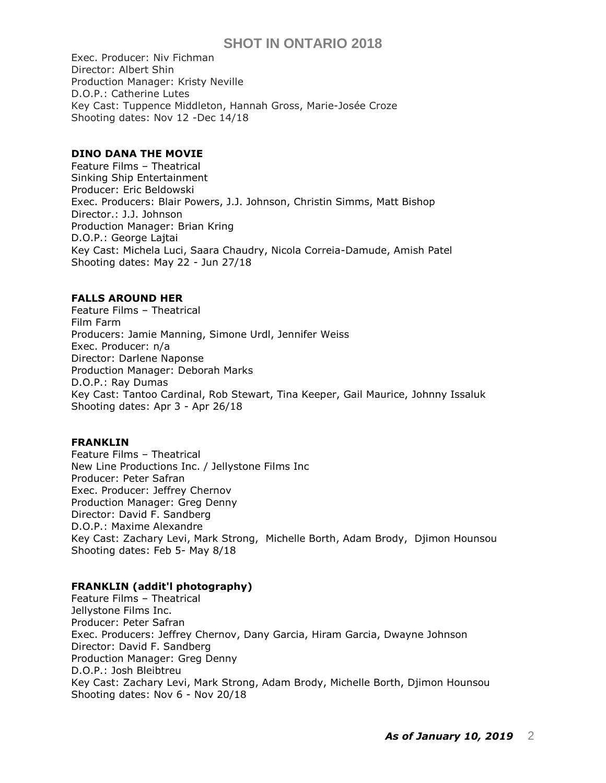Exec. Producer: Niv Fichman Director: Albert Shin Production Manager: Kristy Neville D.O.P.: Catherine Lutes Key Cast: [Tuppence Middleton,](https://www.imdb.com/name/nm3095562/?ref_=tt_ov_st_sm) [Hannah Gross,](https://www.imdb.com/name/nm2193120/?ref_=tt_ov_st_sm) [Marie-Josée Croze](https://www.imdb.com/name/nm0189887/?ref_=tt_ov_st_sm) Shooting dates: Nov 12 -Dec 14/18

## **DINO DANA THE MOVIE**

Feature Films – Theatrical Sinking Ship Entertainment Producer: Eric Beldowski Exec. Producers: Blair Powers, J.J. Johnson, Christin Simms, Matt Bishop Director.: J.J. Johnson Production Manager: Brian Kring D.O.P.: George Lajtai Key Cast: Michela Luci, Saara Chaudry, Nicola Correia-Damude, Amish Patel Shooting dates: May 22 - Jun 27/18

## **FALLS AROUND HER**

Feature Films – Theatrical Film Farm Producers: Jamie Manning, Simone Urdl, Jennifer Weiss Exec. Producer: n/a Director: Darlene Naponse Production Manager: Deborah Marks D.O.P.: Ray Dumas Key Cast: Tantoo Cardinal, Rob Stewart, Tina Keeper, Gail Maurice, [Johnny Issaluk](https://pro.imdb.com/name/nm6136090/) Shooting dates: Apr 3 - Apr 26/18

## **FRANKLIN**

Feature Films – Theatrical New Line Productions Inc. / Jellystone Films Inc Producer: Peter Safran Exec. Producer: Jeffrey Chernov Production Manager: Greg Denny Director: David F. Sandberg D.O.P.: Maxime Alexandre Key Cast: [Zachary Levi,](https://pro.imdb.com/name/nm1157048/) [Mark Strong,](https://pro.imdb.com/name/nm0835016/) [Michelle Borth,](https://pro.imdb.com/name/nm1218924/) [Adam Brody,](https://pro.imdb.com/name/nm0111013/) [Djimon Hounsou](https://pro.imdb.com/name/nm0005023/) Shooting dates: Feb 5- May 8/18

## **FRANKLIN (addit'l photography)**

Feature Films – Theatrical Jellystone Films Inc. Producer: Peter Safran Exec. Producers: [Jeffrey Chernov,](https://pro.imdb.com/name/nm0155942/) Dany Garcia, [Hiram Garcia,](https://pro.imdb.com/name/nm1205652/) [Dwayne Johnson](https://pro.imdb.com/name/nm0425005/) Director: David F. Sandberg Production Manager: Greg Denny D.O.P.: Josh Bleibtreu Key Cast: [Zachary Levi,](https://pro.imdb.com/name/nm1157048/?ref_=tt_cst_1) [Mark Strong,](https://pro.imdb.com/name/nm0835016/?ref_=tt_cst_2) Adam Brody, Michelle Borth, Djimon Hounsou Shooting dates: Nov 6 - Nov 20/18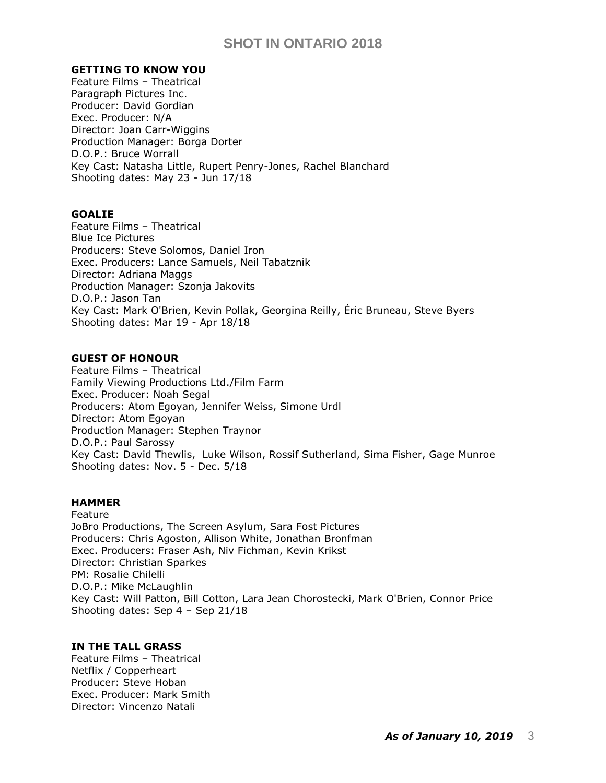#### **GETTING TO KNOW YOU**

Feature Films – Theatrical Paragraph Pictures Inc. Producer: David Gordian Exec. Producer: N/A Director: Joan Carr-Wiggins Production Manager: Borga Dorter D.O.P.: Bruce Worrall Key Cast: Natasha Little, Rupert Penry-Jones, Rachel Blanchard Shooting dates: May 23 - Jun 17/18

#### **GOALIE**

Feature Films – Theatrical Blue Ice Pictures Producers: Steve Solomos, Daniel Iron Exec. Producers: Lance Samuels, Neil Tabatznik Director: Adriana Maggs Production Manager: Szonja Jakovits D.O.P.: Jason Tan Key Cast: [Mark O'Brien,](https://pro.imdb.com/name/nm1975628/) [Kevin Pollak,](https://pro.imdb.com/name/nm0001629/) [Georgina Reilly,](https://pro.imdb.com/name/nm2468050/) [Éric Bruneau,](https://pro.imdb.com/name/nm1923803/) [Steve Byers](https://pro.imdb.com/name/nm0125847/) Shooting dates: Mar 19 - Apr 18/18

#### **GUEST OF HONOUR**

Feature Films – Theatrical Family Viewing Productions Ltd./Film Farm Exec. Producer: Noah Segal Producers: Atom Egoyan, Jennifer Weiss, Simone Urdl Director: Atom Egoyan Production Manager: Stephen Traynor D.O.P.: Paul Sarossy Key Cast: [David Thewlis,](https://pro.imdb.com/name/nm0000667/?ref_=tt_cst_1) [Luke Wilson,](https://pro.imdb.com/name/nm0005561/?ref_=tt_cst_2) [Rossif Sutherland,](https://pro.imdb.com/name/nm1160472/?ref_=tt_cst_3) Sima Fisher, Gage Munroe Shooting dates: Nov. 5 - Dec. 5/18

## **HAMMER**

Feature JoBro Productions, The Screen Asylum, Sara Fost Pictures Producers: Chris Agoston, Allison White, Jonathan Bronfman Exec. Producers: Fraser Ash, Niv Fichman, [Kevin Krikst](https://pro.imdb.com/name/nm2844322/) Director: Christian Sparkes PM: Rosalie Chilelli D.O.P.: Mike McLaughlin Key Cast: Will Patton, Bill Cotton, [Lara Jean Chorostecki,](https://pro.imdb.com/name/nm1892299/) [Mark O'Brien,](https://pro.imdb.com/name/nm1975628/) Connor Price Shooting dates: Sep 4 – Sep 21/18

## **IN THE TALL GRASS**

Feature Films – Theatrical Netflix / Copperheart Producer: Steve Hoban Exec. Producer: Mark Smith Director: Vincenzo Natali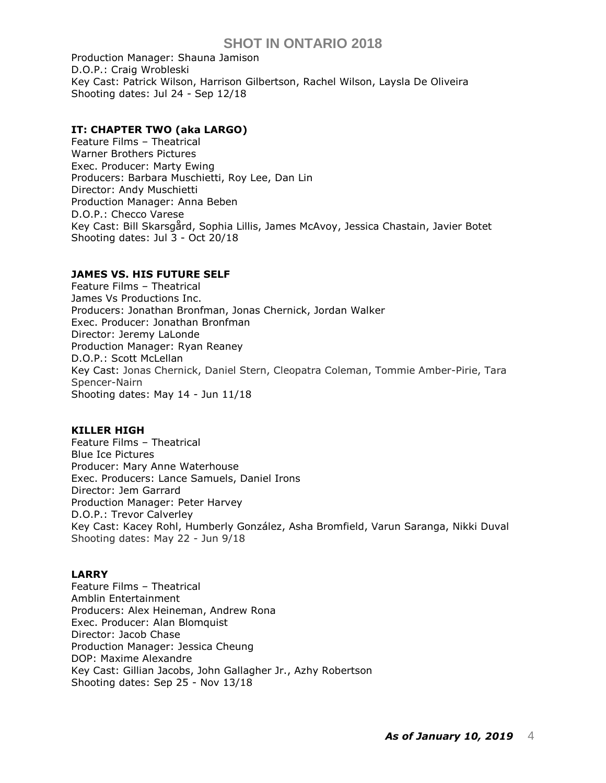Production Manager: Shauna Jamison D.O.P.: Craig Wrobleski Key Cast: Patrick Wilson, Harrison Gilbertson, Rachel Wilson, Laysla De Oliveira Shooting dates: Jul 24 - Sep 12/18

## **IT: CHAPTER TWO (aka LARGO)**

Feature Films – Theatrical Warner Brothers Pictures Exec. Producer: Marty Ewing Producers: Barbara Muschietti, Roy Lee, Dan Lin Director: Andy Muschietti Production Manager: Anna Beben D.O.P.: [Checco Varese](https://pro.imdb.com/name/nm0889678/) Key Cast: [Bill Skarsgård,](https://pro.imdb.com/name/nm0803889/) [Sophia Lillis,](https://pro.imdb.com/name/nm6096118/) [James McAvoy,](https://pro.imdb.com/name/nm0564215/) [Jessica Chastain,](https://pro.imdb.com/name/nm1567113/) [Javier Botet](https://pro.imdb.com/name/nm2306701/) Shooting dates: Jul 3 - Oct 20/18

# **JAMES VS. HIS FUTURE SELF**

Feature Films – Theatrical James Vs Productions Inc. Producers: Jonathan Bronfman, Jonas Chernick, Jordan Walker Exec. Producer: [Jonathan Bronfman](https://pro.imdb.com/name/nm5558225/) Director: Jeremy LaLonde Production Manager: Ryan Reaney D.O.P.: Scott McLellan Key Cast: Jonas Chernick, Daniel Stern, Cleopatra Coleman, Tommie Amber-Pirie, Tara Spencer-Nairn Shooting dates: May 14 - Jun 11/18

# **KILLER HIGH**

Feature Films – Theatrical Blue Ice Pictures Producer: Mary Anne Waterhouse Exec. Producers: Lance Samuels, Daniel Irons Director: Jem Garrard Production Manager: Peter Harvey D.O.P.: Trevor Calverley Key Cast: Kacey Rohl, [Humberly González,](https://pro.imdb.com/name/nm8744341/) [Asha Bromfield,](https://pro.imdb.com/name/nm4329459/) [Varun Saranga, Nikki Duval](https://pro.imdb.com/name/nm3532853/) Shooting dates: May 22 - Jun 9/18

# **LARRY**

Feature Films – Theatrical Amblin Entertainment Producers: Alex Heineman, Andrew Rona Exec. Producer: Alan Blomquist Director: Jacob Chase Production Manager: Jessica Cheung DOP: [Maxime Alexandre](https://pro.imdb.com/name/nm1131817/) Key Cast: [Gillian Jacobs,](https://pro.imdb.com/name/nm1843026/?ref_=tt_cst_1) [John Gallagher Jr.,](https://pro.imdb.com/name/nm0302330/?ref_=tt_cst_2) [Azhy Robertson](https://pro.imdb.com/name/nm7309485/?ref_=tt_cst_3) Shooting dates: Sep 25 - Nov 13/18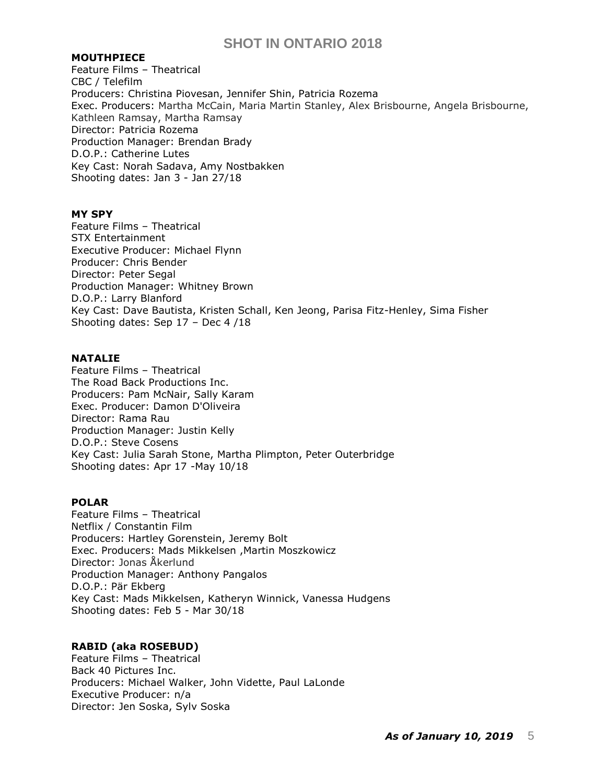#### **MOUTHPIECE**

Feature Films – Theatrical CBC / Telefilm Producers: Christina Piovesan, Jennifer Shin, Patricia Rozema Exec. Producers: Martha McCain, Maria Martin Stanley, Alex Brisbourne, Angela Brisbourne, Kathleen Ramsay, Martha Ramsay Director: Patricia Rozema Production Manager: Brendan Brady D.O.P.: Catherine Lutes Key Cast: Norah Sadava, Amy Nostbakken Shooting dates: Jan 3 - Jan 27/18

#### **MY SPY**

Feature Films – Theatrical STX Entertainment Executive Producer: Michael Flynn Producer: Chris Bender Director: Peter Segal Production Manager: Whitney Brown D.O.P.: Larry Blanford Key Cast: Dave Bautista, Kristen Schall, Ken Jeong, Parisa Fitz-Henley, Sima Fisher Shooting dates: Sep 17 – Dec 4 /18

#### **NATALIE**

Feature Films – Theatrical The Road Back Productions Inc. Producers: Pam McNair, Sally Karam Exec. Producer: Damon D'Oliveira Director: Rama Rau Production Manager: Justin Kelly D.O.P.: Steve Cosens Key Cast: Julia Sarah Stone, Martha Plimpton, Peter Outerbridge Shooting dates: Apr 17 -May 10/18

## **POLAR**

Feature Films – Theatrical Netflix / Constantin Film Producers: Hartley Gorenstein, Jeremy Bolt Exec. Producers: Mads Mikkelsen [,Martin Moszkowicz](https://pro.imdb.com/name/nm0609265/) Director: Jonas Åkerlund Production Manager: Anthony Pangalos D.O.P.: Pär Ekberg Key Cast: Mads Mikkelsen, [Katheryn Winnick,](https://pro.imdb.com/name/nm0935395/) [Vanessa Hudgens](https://pro.imdb.com/name/nm1227814/) Shooting dates: Feb 5 - Mar 30/18

## **RABID (aka ROSEBUD)**

Feature Films – Theatrical Back 40 Pictures Inc. Producers: Michael Walker, John Vidette, Paul LaLonde Executive Producer: n/a Director: Jen Soska, Sylv Soska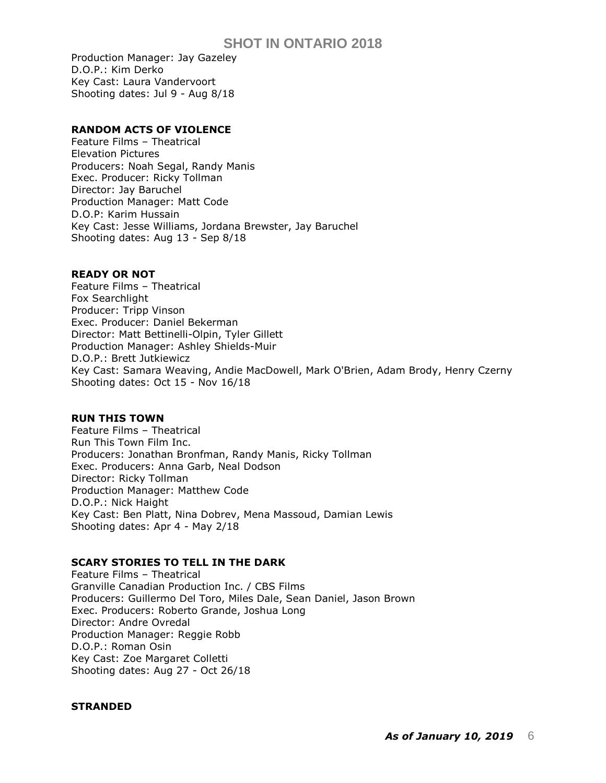Production Manager: Jay Gazeley D.O.P.: Kim Derko Key Cast: Laura Vandervoort Shooting dates: Jul 9 - Aug 8/18

## **RANDOM ACTS OF VIOLENCE**

Feature Films – Theatrical Elevation Pictures Producers: Noah Segal, Randy Manis Exec. Producer: Ricky Tollman Director: Jay Baruchel Production Manager: Matt Code D.O.P: Karim Hussain Key Cast: Jesse Williams, Jordana Brewster, Jay Baruchel Shooting dates: Aug 13 - Sep 8/18

# **READY OR NOT**

Feature Films – Theatrical Fox Searchlight Producer: Tripp Vinson Exec. Producer: Daniel Bekerman Director: Matt Bettinelli-Olpin, Tyler Gillett Production Manager: Ashley Shields-Muir D.O.P.: Brett Jutkiewicz Key Cast: [Samara Weaving,](https://pro.imdb.com/name/nm3034977/) [Andie MacDowell,](https://pro.imdb.com/name/nm0000510/) [Mark O'Brien,](https://pro.imdb.com/name/nm1975628/) Adam Brody, Henry Czerny Shooting dates: Oct 15 - Nov 16/18

## **RUN THIS TOWN**

Feature Films – Theatrical Run This Town Film Inc. Producers: Jonathan Bronfman, Randy Manis, Ricky Tollman Exec. Producers: Anna Garb, Neal Dodson Director: Ricky Tollman Production Manager: Matthew Code D.O.P.: Nick Haight Key Cast: Ben Platt, Nina Dobrev, Mena Massoud, Damian Lewis Shooting dates: Apr 4 - May 2/18

# **SCARY STORIES TO TELL IN THE DARK**

Feature Films – Theatrical Granville Canadian Production Inc. / CBS Films Producers: Guillermo Del Toro, Miles Dale, Sean Daniel, Jason Brown Exec. Producers: Roberto Grande, Joshua Long Director: Andre Ovredal Production Manager: Reggie Robb D.O.P.: Roman Osin Key Cast: [Zoe Margaret Colletti](https://pro.imdb.com/name/nm2292661/) Shooting dates: Aug 27 - Oct 26/18

# **STRANDED**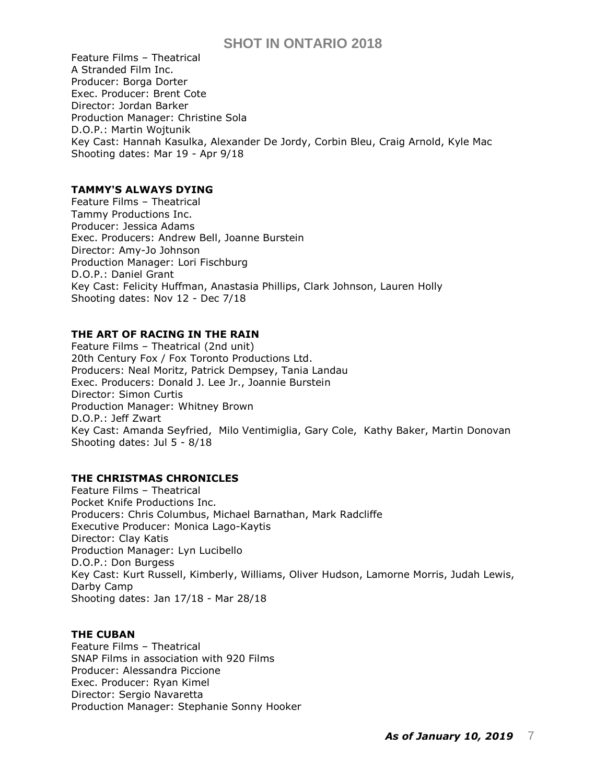Feature Films – Theatrical A Stranded Film Inc. Producer: Borga Dorter Exec. Producer: Brent Cote Director: Jordan Barker Production Manager: Christine Sola D.O.P.: Martin Wojtunik Key Cast: [Hannah Kasulka,](https://pro.imdb.com/name/nm2453033/) Alexander De Jordy, [Corbin Bleu,](https://pro.imdb.com/name/nm0088298/) [Craig Arnold, K](https://pro.imdb.com/name/nm3928595/)yle Mac Shooting dates: Mar 19 - Apr 9/18

## **TAMMY'S ALWAYS DYING**

Feature Films – Theatrical Tammy Productions Inc. Producer: Jessica Adams Exec. Producers: Andrew Bell, Joanne Burstein Director: Amy-Jo Johnson Production Manager: Lori Fischburg D.O.P.: Daniel Grant Key Cast: Felicity Huffman, [Anastasia Phillips,](https://pro.imdb.com/name/nm2107127/) Clark Johnson, Lauren Holly Shooting dates: Nov 12 - Dec 7/18

# **THE ART OF RACING IN THE RAIN**

Feature Films – Theatrical (2nd unit) 20th Century Fox / Fox Toronto Productions Ltd. Producers: Neal Moritz, Patrick Dempsey, Tania Landau Exec. Producers: Donald J. Lee Jr., Joannie Burstein Director: Simon Curtis Production Manager: Whitney Brown D.O.P.: Jeff Zwart Key Cast: [Amanda Seyfried,](https://pro.imdb.com/name/nm1086543/) [Milo Ventimiglia,](https://pro.imdb.com/name/nm0893257/) [Gary Cole,](https://pro.imdb.com/name/nm0170550/) [Kathy Baker, Martin Donovan](https://pro.imdb.com/name/nm0000834/)  Shooting dates: Jul 5 - 8/18

# **THE CHRISTMAS CHRONICLES**

Feature Films – Theatrical Pocket Knife Productions Inc. Producers: Chris Columbus, Michael Barnathan, Mark Radcliffe Executive Producer: Monica Lago-Kaytis Director: Clay Katis Production Manager: Lyn Lucibello D.O.P.: Don Burgess Key Cast: Kurt Russell, Kimberly, Williams, Oliver Hudson, Lamorne Morris, Judah Lewis, Darby Camp Shooting dates: Jan 17/18 - Mar 28/18

## **THE CUBAN**

Feature Films – Theatrical SNAP Films in association with 920 Films Producer: Alessandra Piccione Exec. Producer: Ryan Kimel Director: Sergio Navaretta Production Manager: Stephanie Sonny Hooker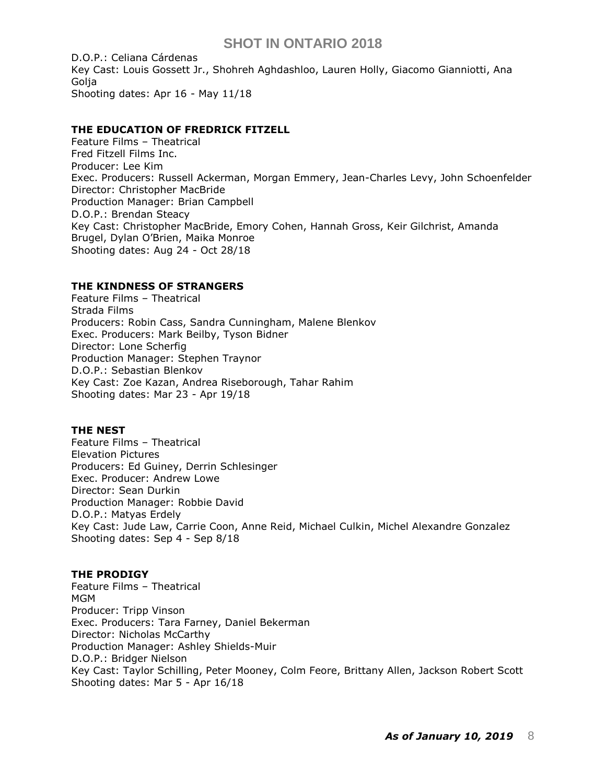D.O.P.: Celiana Cárdenas Key Cast: Louis Gossett Jr., Shohreh Aghdashloo, Lauren Holly, Giacomo Gianniotti, Ana Golja Shooting dates: Apr 16 - May 11/18

## **THE EDUCATION OF FREDRICK FITZELL**

Feature Films – Theatrical Fred Fitzell Films Inc. Producer: Lee Kim Exec. Producers: [Russell Ackerman,](https://pro.imdb.com/name/nm1652438/) Morgan Emmery, Jean-Charles Levy, John Schoenfelder Director: Christopher MacBride Production Manager: Brian Campbell D.O.P.: Brendan Steacy Key Cast: Christopher MacBride, Emory Cohen, Hannah Gross, Keir Gilchrist, Amanda Brugel, Dylan O'Brien, Maika Monroe Shooting dates: Aug 24 - Oct 28/18

## **THE KINDNESS OF STRANGERS**

Feature Films – Theatrical Strada Films Producers: Robin Cass, Sandra Cunningham, Malene Blenkov Exec. Producers: Mark Beilby, Tyson Bidner Director: Lone Scherfig Production Manager: Stephen Traynor D.O.P.: Sebastian Blenkov Key Cast: Zoe Kazan, Andrea Riseborough, Tahar Rahim Shooting dates: Mar 23 - Apr 19/18

## **THE NEST**

Feature Films – Theatrical Elevation Pictures Producers: Ed Guiney, Derrin Schlesinger Exec. Producer: Andrew Lowe Director: Sean Durkin Production Manager: Robbie David D.O.P.: Matyas Erdely Key Cast: Jude Law, Carrie Coon, Anne Reid, Michael Culkin, Michel Alexandre Gonzalez Shooting dates: Sep 4 - Sep 8/18

#### **THE PRODIGY**

Feature Films – Theatrical MGM Producer: Tripp Vinson Exec. Producers: Tara Farney, Daniel Bekerman Director: Nicholas McCarthy Production Manager: Ashley Shields-Muir D.O.P.: Bridger Nielson Key Cast: Taylor Schilling, Peter Mooney, Colm Feore, Brittany Allen, Jackson Robert Scott Shooting dates: Mar 5 - Apr 16/18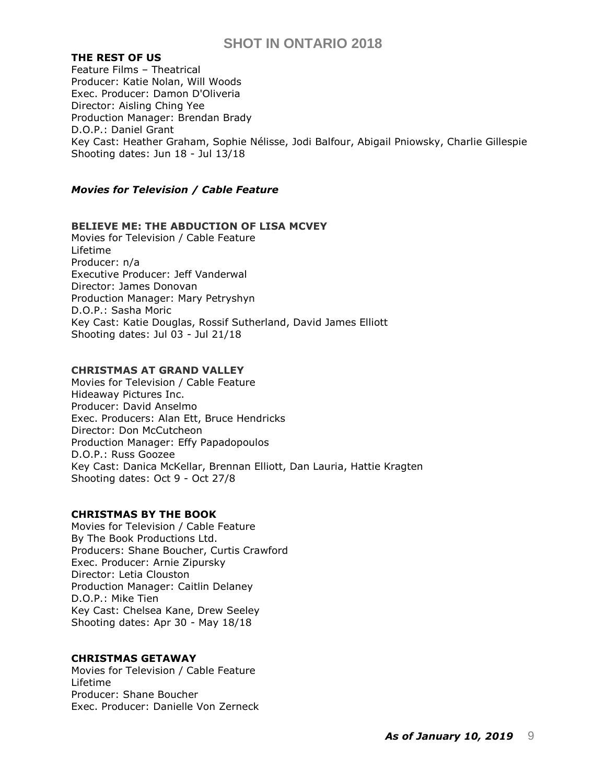## **THE REST OF US**

Feature Films – Theatrical Producer: Katie Nolan, Will Woods Exec. Producer: Damon D'Oliveria Director: Aisling Ching Yee Production Manager: Brendan Brady D.O.P.: Daniel Grant Key Cast: Heather Graham, Sophie Nélisse, [Jodi Balfour,](https://pro.imdb.com/name/nm3341156/) Abigail Pniowsky, Charlie Gillespie Shooting dates: Jun 18 - Jul 13/18

# *Movies for Television / Cable Feature*

## **BELIEVE ME: THE ABDUCTION OF LISA MCVEY**

Movies for Television / Cable Feature Lifetime Producer: n/a Executive Producer: Jeff Vanderwal Director: James Donovan Production Manager: Mary Petryshyn D.O.P.: Sasha Moric Key Cast: Katie Douglas, Rossif Sutherland, David James Elliott Shooting dates: Jul 03 - Jul 21/18

## **CHRISTMAS AT GRAND VALLEY**

Movies for Television / Cable Feature Hideaway Pictures Inc. Producer: David Anselmo Exec. Producers: Alan Ett, Bruce Hendricks Director: Don McCutcheon Production Manager: Effy Papadopoulos D.O.P.: Russ Goozee Key Cast: [Danica McKellar,](https://pro.imdb.com/name/nm0005211/) [Brennan Elliott,](https://pro.imdb.com/name/nm0254392/) Dan Lauria, Hattie Kragten Shooting dates: Oct 9 - Oct 27/8

## **CHRISTMAS BY THE BOOK**

Movies for Television / Cable Feature By The Book Productions Ltd. Producers: Shane Boucher, Curtis Crawford Exec. Producer: Arnie Zipursky Director: Letia Clouston Production Manager: Caitlin Delaney D.O.P.: Mike Tien Key Cast: Chelsea Kane, Drew Seeley Shooting dates: Apr 30 - May 18/18

## **CHRISTMAS GETAWAY**

Movies for Television / Cable Feature Lifetime Producer: Shane Boucher Exec. Producer: Danielle Von Zerneck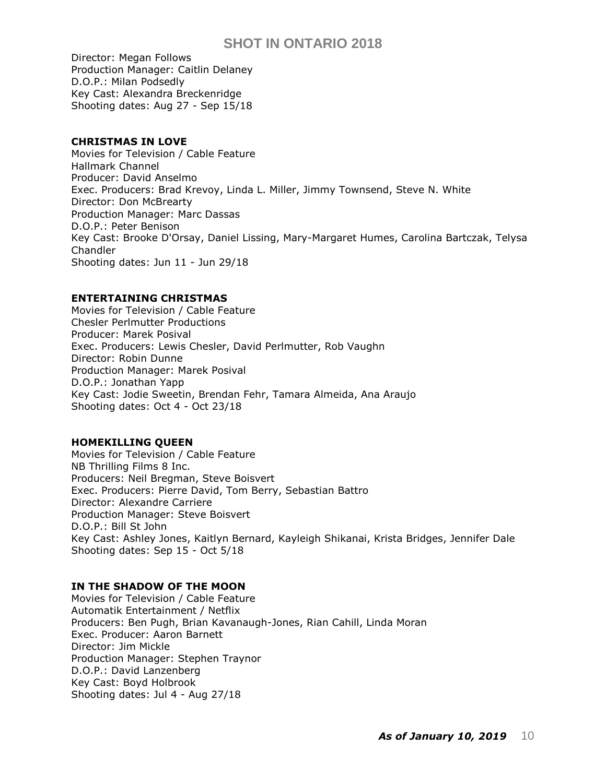Director: Megan Follows Production Manager: Caitlin Delaney D.O.P.: Milan Podsedly Key Cast: Alexandra Breckenridge Shooting dates: Aug 27 - Sep 15/18

## **CHRISTMAS IN LOVE**

Movies for Television / Cable Feature Hallmark Channel Producer: David Anselmo Exec. Producers: [Brad Krevoy,](https://pro.imdb.com/name/nm0471097/) Linda L. Miller, [Jimmy Townsend,](https://pro.imdb.com/name/nm4617191/) Steve N. White Director: Don McBrearty Production Manager: Marc Dassas D.O.P.: Peter Benison Key Cast: [Brooke D'Orsay,](https://pro.imdb.com/name/nm1175262/) Daniel Lissing, Mary-Margaret Humes, Carolina Bartczak, Telysa Chandler Shooting dates: Jun 11 - Jun 29/18

#### **ENTERTAINING CHRISTMAS**

Movies for Television / Cable Feature Chesler Perlmutter Productions Producer: Marek Posival Exec. Producers: Lewis Chesler, David Perlmutter, Rob Vaughn Director: Robin Dunne Production Manager: Marek Posival D.O.P.: Jonathan Yapp Key Cast: [Jodie Sweetin,](https://pro.imdb.com/name/nm0842332/) Brendan Fehr, Tamara Almeida, Ana Araujo Shooting dates: Oct 4 - Oct 23/18

#### **HOMEKILLING QUEEN**

Movies for Television / Cable Feature NB Thrilling Films 8 Inc. Producers: Neil Bregman, Steve Boisvert Exec. Producers: Pierre David, Tom Berry, Sebastian Battro Director: Alexandre Carriere Production Manager: Steve Boisvert D.O.P.: Bill St John Key Cast: Ashley Jones, Kaitlyn Bernard, Kayleigh Shikanai, Krista Bridges, Jennifer Dale Shooting dates: Sep 15 - Oct 5/18

## **IN THE SHADOW OF THE MOON**

Movies for Television / Cable Feature Automatik Entertainment / Netflix Producers: Ben Pugh, Brian Kavanaugh-Jones, Rian Cahill, Linda Moran Exec. Producer: Aaron Barnett Director: Jim Mickle Production Manager: Stephen Traynor D.O.P.: David Lanzenberg Key Cast: Boyd Holbrook Shooting dates: Jul 4 - Aug 27/18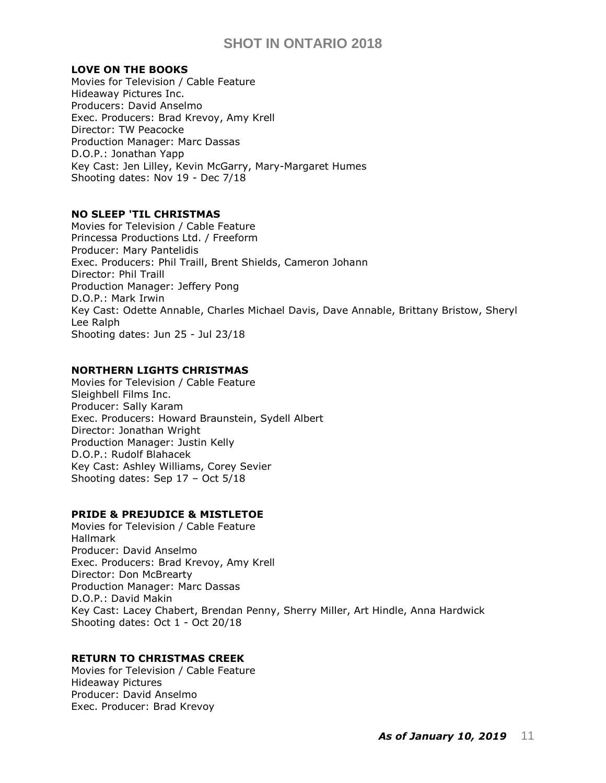## **LOVE ON THE BOOKS**

Movies for Television / Cable Feature Hideaway Pictures Inc. Producers: David Anselmo Exec. Producers: Brad Krevoy, Amy Krell Director: TW Peacocke Production Manager: Marc Dassas D.O.P.: Jonathan Yapp Key Cast: Jen Lilley, Kevin McGarry, Mary-Margaret Humes Shooting dates: Nov 19 - Dec 7/18

#### **NO SLEEP 'TIL CHRISTMAS**

Movies for Television / Cable Feature Princessa Productions Ltd. / Freeform Producer: Mary Pantelidis Exec. Producers: Phil Traill, Brent Shields, Cameron Johann Director: Phil Traill Production Manager: Jeffery Pong D.O.P.: Mark Irwin Key Cast: [Odette Annable,](https://pro.imdb.com/name/nm0951148/) Charles Michael Davis, [Dave Annable,](https://pro.imdb.com/name/nm1616349/) Brittany Bristow, Sheryl Lee Ralph Shooting dates: Jun 25 - Jul 23/18

## **NORTHERN LIGHTS CHRISTMAS**

Movies for Television / Cable Feature Sleighbell Films Inc. Producer: Sally Karam Exec. Producers: [Howard Braunstein,](https://pro.imdb.com/name/nm0105946/) [Sydell Albert](https://pro.imdb.com/name/nm0016596/) Director: Jonathan Wright Production Manager: Justin Kelly D.O.P.: Rudolf Blahacek Key Cast: Ashley Williams, Corey Sevier Shooting dates: Sep 17 – Oct 5/18

## **PRIDE & PREJUDICE & MISTLETOE**

Movies for Television / Cable Feature Hallmark Producer: David Anselmo Exec. Producers: Brad Krevoy, Amy Krell Director: Don McBrearty Production Manager: Marc Dassas D.O.P.: David Makin Key Cast: [Lacey Chabert,](https://pro.imdb.com/name/nm0000327/) Brendan Penny, Sherry Miller, Art Hindle, Anna Hardwick Shooting dates: Oct 1 - Oct 20/18

## **RETURN TO CHRISTMAS CREEK**

Movies for Television / Cable Feature Hideaway Pictures Producer: David Anselmo Exec. Producer: Brad Krevoy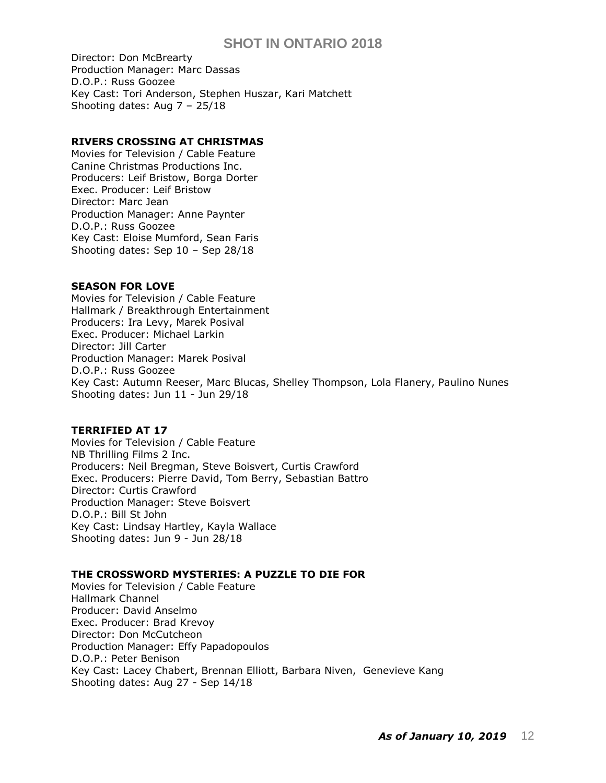Director: Don McBrearty Production Manager: Marc Dassas D.O.P.: Russ Goozee Key Cast: Tori Anderson, Stephen Huszar, Kari Matchett Shooting dates: Aug 7 – 25/18

# **RIVERS CROSSING AT CHRISTMAS**

Movies for Television / Cable Feature Canine Christmas Productions Inc. Producers: Leif Bristow, Borga Dorter Exec. Producer: Leif Bristow Director: Marc Jean Production Manager: Anne Paynter D.O.P.: Russ Goozee Key Cast: Eloise Mumford, Sean Faris Shooting dates: Sep 10 – Sep 28/18

## **SEASON FOR LOVE**

Movies for Television / Cable Feature Hallmark / Breakthrough Entertainment Producers: Ira Levy, Marek Posival Exec. Producer: Michael Larkin Director: Jill Carter Production Manager: Marek Posival D.O.P.: Russ Goozee Key Cast: Autumn Reeser, Marc Blucas, Shelley Thompson, Lola Flanery, Paulino Nunes Shooting dates: Jun 11 - Jun 29/18

# **TERRIFIED AT 17**

Movies for Television / Cable Feature NB Thrilling Films 2 Inc. Producers: Neil Bregman, Steve Boisvert, Curtis Crawford Exec. Producers: Pierre David, Tom Berry, Sebastian Battro Director: Curtis Crawford Production Manager: Steve Boisvert D.O.P.: Bill St John Key Cast: Lindsay Hartley, Kayla Wallace Shooting dates: Jun 9 - Jun 28/18

# **THE CROSSWORD MYSTERIES: A PUZZLE TO DIE FOR**

Movies for Television / Cable Feature Hallmark Channel Producer: David Anselmo Exec. Producer: Brad Krevoy Director: Don McCutcheon Production Manager: Effy Papadopoulos D.O.P.: Peter Benison Key Cast: [Lacey Chabert,](https://pro.imdb.com/name/nm0000327/) [Brennan Elliott,](https://pro.imdb.com/name/nm0254392/) [Barbara Niven,](https://pro.imdb.com/name/nm0018271/) [Genevieve Kang](https://pro.imdb.com/name/nm2002602/) Shooting dates: Aug 27 - Sep 14/18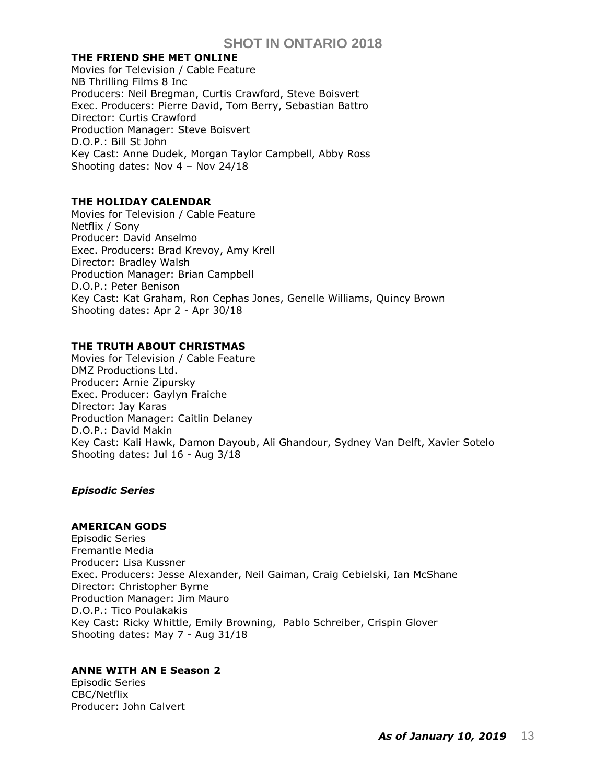## **THE FRIEND SHE MET ONLINE**

Movies for Television / Cable Feature NB Thrilling Films 8 Inc Producers: Neil Bregman, Curtis Crawford, Steve Boisvert Exec. Producers: Pierre David, Tom Berry, Sebastian Battro Director: Curtis Crawford Production Manager: Steve Boisvert D.O.P.: Bill St John Key Cast: Anne Dudek, Morgan Taylor Campbell, Abby Ross Shooting dates: Nov 4 – Nov 24/18

## **THE HOLIDAY CALENDAR**

Movies for Television / Cable Feature Netflix / Sony Producer: David Anselmo Exec. Producers: Brad Krevoy, Amy Krell Director: Bradley Walsh Production Manager: Brian Campbell D.O.P.: Peter Benison Key Cast: [Kat Graham,](https://pro.imdb.com/name/nm0334159/) Ron Cephas Jones, Genelle Williams, Quincy Brown Shooting dates: Apr 2 - Apr 30/18

## **THE TRUTH ABOUT CHRISTMAS**

Movies for Television / Cable Feature DMZ Productions Ltd. Producer: Arnie Zipursky Exec. Producer: Gaylyn Fraiche Director: Jay Karas Production Manager: Caitlin Delaney D.O.P.: David Makin Key Cast: [Kali Hawk,](https://pro.imdb.com/name/nm1589825/) Damon Dayoub, Ali Ghandour, Sydney Van Delft, [Xavier Sotelo](https://pro.imdb.com/name/nm1088071/) Shooting dates: Jul 16 - Aug 3/18

# *Episodic Series*

## **AMERICAN GODS**

Episodic Series Fremantle Media Producer: Lisa Kussner Exec. Producers: Jesse Alexander, Neil Gaiman, Craig Cebielski, Ian McShane Director: Christopher Byrne Production Manager: Jim Mauro D.O.P.: Tico Poulakakis Key Cast: [Ricky Whittle, Emily Browning,](https://pro.imdb.com/name/nm1340638/) Pablo Schreiber, Crispin Glover Shooting dates: May 7 - Aug 31/18

# **ANNE WITH AN E Season 2**

Episodic Series CBC/Netflix Producer: John Calvert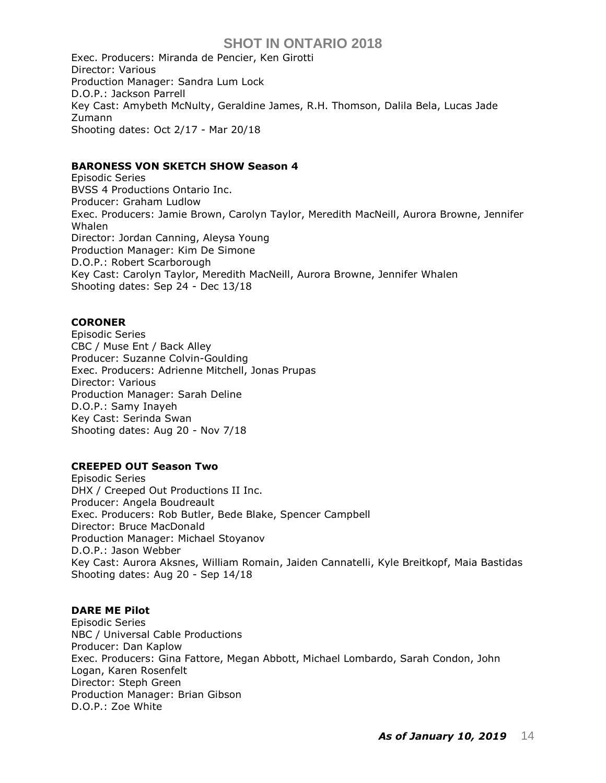Exec. Producers: Miranda de Pencier, Ken Girotti Director: Various Production Manager: Sandra Lum Lock D.O.P.: Jackson Parrell Key Cast: [Amybeth McNulty,](https://pro.imdb.com/name/nm6741374/) Geraldine James, R.H. Thomson, [Dalila Bela,](https://pro.imdb.com/name/nm3629668/) [Lucas Jade](https://pro.imdb.com/name/nm6722749/)  [Zumann](https://pro.imdb.com/name/nm6722749/) Shooting dates: Oct 2/17 - Mar 20/18

## **BARONESS VON SKETCH SHOW Season 4**

Episodic Series BVSS 4 Productions Ontario Inc. Producer: Graham Ludlow Exec. Producers: Jamie Brown, Carolyn Taylor, Meredith MacNeill, Aurora Browne, Jennifer Whalen Director: Jordan Canning, Aleysa Young Production Manager: Kim De Simone D.O.P.: Robert Scarborough Key Cast: Carolyn Taylor, Meredith MacNeill, Aurora Browne, Jennifer Whalen Shooting dates: Sep 24 - Dec 13/18

## **CORONER**

Episodic Series CBC / Muse Ent / Back Alley Producer: Suzanne Colvin-Goulding Exec. Producers: Adrienne Mitchell, Jonas Prupas Director: Various Production Manager: Sarah Deline D.O.P.: Samy Inayeh Key Cast: Serinda Swan Shooting dates: Aug 20 - Nov 7/18

## **CREEPED OUT Season Two**

Episodic Series DHX / Creeped Out Productions II Inc. Producer: Angela Boudreault Exec. Producers: Rob Butler, Bede Blake, Spencer Campbell Director: Bruce MacDonald Production Manager: Michael Stoyanov D.O.P.: Jason Webber Key Cast: Aurora Aksnes, William Romain, Jaiden Cannatelli, Kyle Breitkopf, Maia Bastidas Shooting dates: Aug 20 - Sep 14/18

#### **DARE ME Pilot**

Episodic Series NBC / Universal Cable Productions Producer: Dan Kaplow Exec. Producers: Gina Fattore, Megan Abbott, Michael Lombardo, Sarah Condon, John Logan, Karen Rosenfelt Director: Steph Green Production Manager: Brian Gibson D.O.P.: Zoe White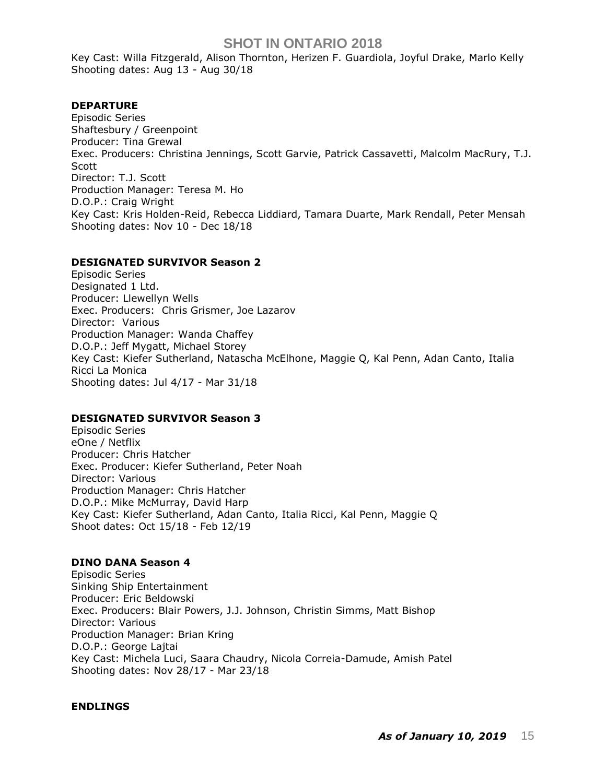Key Cast: Willa Fitzgerald, Alison Thornton, Herizen F. Guardiola, Joyful Drake, [Marlo Kelly](https://pro.imdb.com/name/nm7251080/) Shooting dates: Aug 13 - Aug 30/18

#### **DEPARTURE**

Episodic Series Shaftesbury / Greenpoint Producer: Tina Grewal Exec. Producers: Christina Jennings, Scott Garvie, Patrick Cassavetti, Malcolm MacRury, T.J. Scott Director: T.J. Scott Production Manager: Teresa M. Ho D.O.P.: Craig Wright Key Cast: [Kris Holden-Reid,](https://pro.imdb.com/name/nm0390285/) Rebecca Liddiard, [Tamara Duarte,](https://pro.imdb.com/name/nm2781731/) Mark Rendall, Peter Mensah Shooting dates: Nov 10 - Dec 18/18

## **DESIGNATED SURVIVOR Season 2**

Episodic Series Designated 1 Ltd. Producer: Llewellyn Wells Exec. Producers: Chris Grismer, Joe Lazarov Director: Various Production Manager: Wanda Chaffey D.O.P.: Jeff Mygatt, Michael Storey Key Cast: Kiefer Sutherland, Natascha McElhone, Maggie Q, Kal Penn, Adan Canto, Italia Ricci La Monica Shooting dates: Jul 4/17 - Mar 31/18

#### **DESIGNATED SURVIVOR Season 3**

Episodic Series eOne / Netflix Producer: Chris Hatcher Exec. Producer: Kiefer Sutherland, Peter Noah Director: Various Production Manager: Chris Hatcher D.O.P.: Mike McMurray, David Harp Key Cast: Kiefer Sutherland, Adan Canto, Italia Ricci, Kal Penn, Maggie Q Shoot dates: Oct 15/18 - Feb 12/19

#### **DINO DANA Season 4**

Episodic Series Sinking Ship Entertainment Producer: Eric Beldowski Exec. Producers: Blair Powers, J.J. Johnson, Christin Simms, Matt Bishop Director: Various Production Manager: Brian Kring D.O.P.: George Lajtai Key Cast: Michela Luci, Saara Chaudry, Nicola Correia-Damude, Amish Patel Shooting dates: Nov 28/17 - Mar 23/18

#### **ENDLINGS**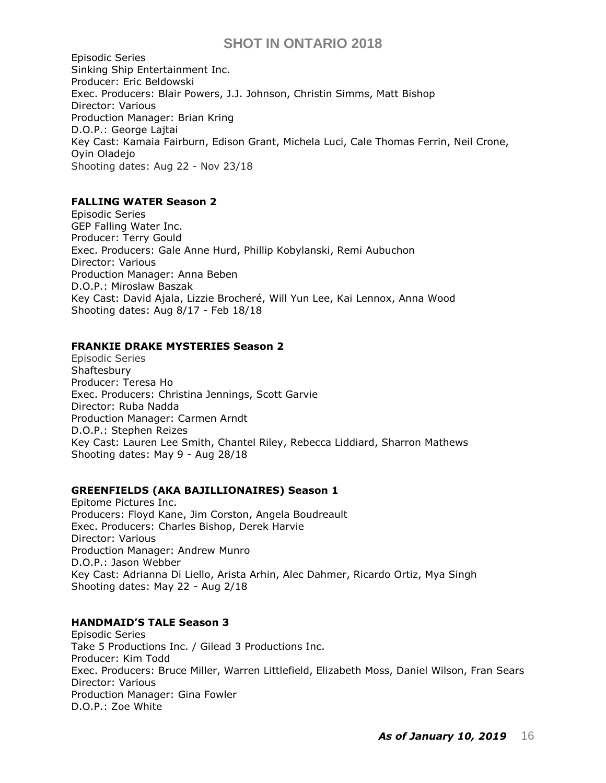Episodic Series Sinking Ship Entertainment Inc. Producer: Eric Beldowski Exec. Producers: Blair Powers, J.J. Johnson, Christin Simms, Matt Bishop Director: Various Production Manager: Brian Kring D.O.P.: George Lajtai Key Cast: Kamaia Fairburn, Edison Grant, Michela Luci, Cale Thomas Ferrin, Neil Crone, Oyin Oladejo Shooting dates: Aug 22 - Nov 23/18

# **FALLING WATER Season 2**

Episodic Series GEP Falling Water Inc. Producer: Terry Gould Exec. Producers: Gale Anne Hurd, Phillip Kobylanski, Remi Aubuchon Director: Various Production Manager: Anna Beben D.O.P.: Miroslaw Baszak Key Cast: [David Ajala,](https://pro-labs.imdb.com/name/nm2916966/?ref_=tt_cst_1) [Lizzie Brocheré,](https://pro-labs.imdb.com/name/nm1227053/?ref_=tt_cst_2) [Will Yun Lee,](https://pro-labs.imdb.com/name/nm0498449/?ref_=tt_cst_3) [Kai Lennox,](https://pro-labs.imdb.com/name/nm0502097/?ref_=tt_cst_4) [Anna Wood](https://pro-labs.imdb.com/name/nm3580571/?ref_=tt_cst_5) Shooting dates: Aug 8/17 - Feb 18/18

## **FRANKIE DRAKE MYSTERIES Season 2**

Episodic Series **Shaftesbury** Producer: Teresa Ho Exec. Producers: Christina Jennings, Scott Garvie Director: Ruba Nadda Production Manager: Carmen Arndt D.O.P.: Stephen Reizes Key Cast: Lauren Lee Smith, Chantel Riley, Rebecca Liddiard, Sharron Mathews Shooting dates: May 9 - Aug 28/18

# **GREENFIELDS (AKA BAJILLIONAIRES) Season 1**

Epitome Pictures Inc. Producers: Floyd Kane, Jim Corston, Angela Boudreault Exec. Producers: Charles Bishop, Derek Harvie Director: Various Production Manager: Andrew Munro D.O.P.: Jason Webber Key Cast: [Adrianna Di Liello,](https://pro.imdb.com/name/nm5276369/) Arista Arhin, [Alec Dahmer,](https://pro.imdb.com/name/nm8887337/) Ricardo Ortiz, Mya Singh Shooting dates: May 22 - Aug 2/18

# **HANDMAID'S TALE Season 3**

Episodic Series Take 5 Productions Inc. / Gilead 3 Productions Inc. Producer: Kim Todd Exec. Producers: Bruce Miller, Warren Littlefield, Elizabeth Moss, Daniel Wilson, Fran Sears Director: Various Production Manager: Gina Fowler D.O.P.: Zoe White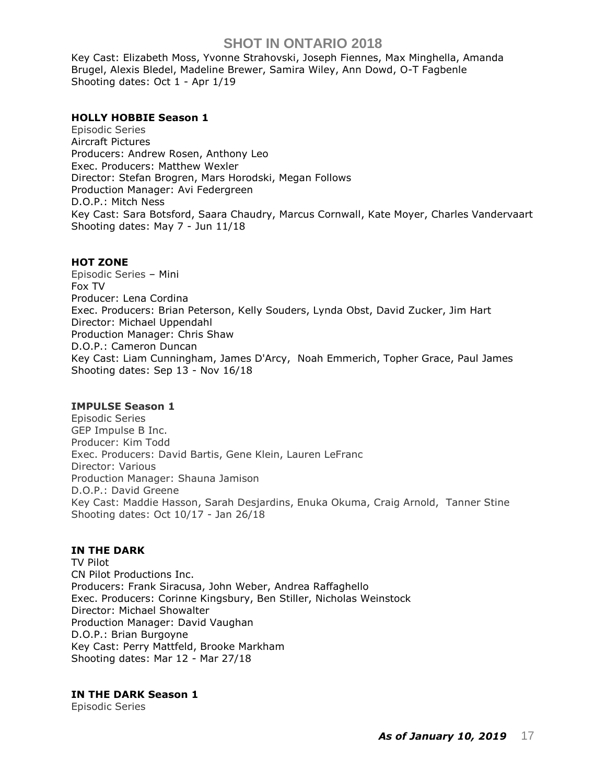Key Cast: Elizabeth Moss, Yvonne Strahovski, Joseph Fiennes, Max Minghella, Amanda Brugel, Alexis Bledel, Madeline Brewer, Samira Wiley, Ann Dowd, O-T Fagbenle Shooting dates: Oct 1 - Apr 1/19

#### **HOLLY HOBBIE Season 1**

Episodic Series Aircraft Pictures Producers: Andrew Rosen, Anthony Leo Exec. Producers: Matthew Wexler Director: Stefan Brogren, Mars Horodski, Megan Follows Production Manager: Avi Federgreen D.O.P.: Mitch Ness Key Cast: Sara Botsford, Saara Chaudry, [Marcus Cornwall,](https://pro.imdb.com/name/nm9180126/) Kate Moyer, Charles Vandervaart Shooting dates: May 7 - Jun 11/18

#### **HOT ZONE**

Episodic Series – Mini Fox TV Producer: Lena Cordina Exec. Producers: Brian Peterson, Kelly Souders, Lynda Obst, David Zucker, Jim Hart Director: Michael Uppendahl Production Manager: Chris Shaw D.O.P.: Cameron Duncan Key Cast: [Liam Cunningham,](https://pro.imdb.com/name/nm0192377/) [James D'Arcy,](https://pro.imdb.com/name/nm0195439/) [Noah Emmerich,](https://pro.imdb.com/name/nm0001187/) Topher Grace, Paul James Shooting dates: Sep 13 - Nov 16/18

## **IMPULSE Season 1**

Episodic Series GEP Impulse B Inc. Producer: Kim Todd Exec. Producers: David Bartis, Gene Klein, Lauren LeFranc Director: Various Production Manager: Shauna Jamison D.O.P.: David Greene Key Cast: [Maddie Hasson,](https://pro.imdb.com/name/nm4487976/) Sarah Desjardins, Enuka Okuma, [Craig Arnold,](https://pro.imdb.com/name/nm3928595/) [Tanner Stine](https://pro.imdb.com/name/nm6003345/) Shooting dates: Oct 10/17 - Jan 26/18

## **IN THE DARK**

TV Pilot CN Pilot Productions Inc. Producers: Frank Siracusa, John Weber, Andrea Raffaghello Exec. Producers: [Corinne Kingsbury, B](https://pro.imdb.com/name/nm1330716/)en Stiller, Nicholas Weinstock Director: Michael Showalter Production Manager: David Vaughan D.O.P.: [Brian Burgoyne](https://pro.imdb.com/name/nm1125431/) Key Cast: [Perry Mattfeld,](https://pro.imdb.com/name/nm3018183/) Brooke Markham Shooting dates: Mar 12 - Mar 27/18

## **IN THE DARK Season 1**

Episodic Series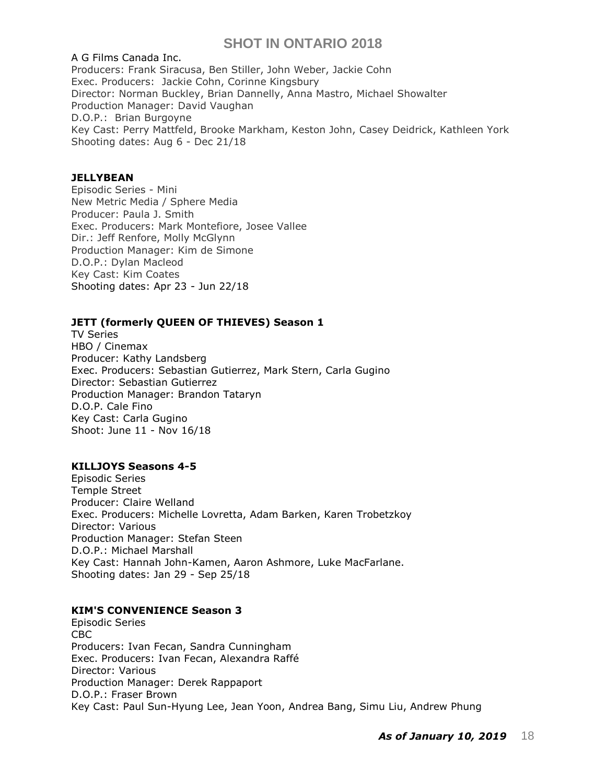#### A G Films Canada Inc.

Producers: Frank Siracusa, Ben Stiller, John Weber, Jackie Cohn Exec. Producers: Jackie Cohn, Corinne Kingsbury Director: [Norman Buckley,](https://pro.imdb.com/name/nm0118665/?ref_=tt_fm_dir) [Brian Dannelly,](https://pro.imdb.com/name/nm0200380/?ref_=tt_fm_dir) [Anna Mastro,](https://pro.imdb.com/name/nm1457361/?ref_=tt_fm_dir) [Michael Showalter](https://pro.imdb.com/name/nm0795290/?ref_=tt_fm_dir) Production Manager: David Vaughan D.O.P.: [Brian Burgoyne](https://pro.imdb.com/name/nm1125431/?ref_=tt_fm_ci) Key Cast: [Perry Mattfeld,](https://pro.imdb.com/name/nm3018183/) Brooke Markham, Keston John, Casey Deidrick, Kathleen York Shooting dates: Aug 6 - Dec 21/18

#### **JELLYBEAN**

Episodic Series - Mini New Metric Media / Sphere Media Producer: Paula J. Smith Exec. Producers: Mark Montefiore, Josee Vallee Dir.: Jeff Renfore, Molly McGlynn Production Manager: Kim de Simone D.O.P.: Dylan Macleod Key Cast: Kim Coates Shooting dates: Apr 23 - Jun 22/18

## **JETT (formerly QUEEN OF THIEVES) Season 1**

TV Series HBO / Cinemax Producer: Kathy Landsberg Exec. Producers: Sebastian Gutierrez, Mark Stern, Carla Gugino Director: Sebastian Gutierrez Production Manager: Brandon Tataryn D.O.P. Cale Fino Key Cast: Carla Gugino Shoot: June 11 - Nov 16/18

## **KILLJOYS Seasons 4-5**

Episodic Series Temple Street Producer: Claire Welland Exec. Producers: Michelle Lovretta, Adam Barken, Karen Trobetzkoy Director: Various Production Manager: Stefan Steen D.O.P.: Michael Marshall Key Cast: Hannah John-Kamen, Aaron Ashmore, Luke MacFarlane. Shooting dates: Jan 29 - Sep 25/18

## **KIM'S CONVENIENCE Season 3**

Episodic Series CBC Producers: Ivan Fecan, Sandra Cunningham Exec. Producers: Ivan Fecan, Alexandra Raffé Director: Various Production Manager: Derek Rappaport D.O.P.: Fraser Brown Key Cast: Paul Sun-Hyung Lee, Jean Yoon, [Andrea Bang,](https://pro.imdb.com/name/nm4490375/) Simu Liu, Andrew Phung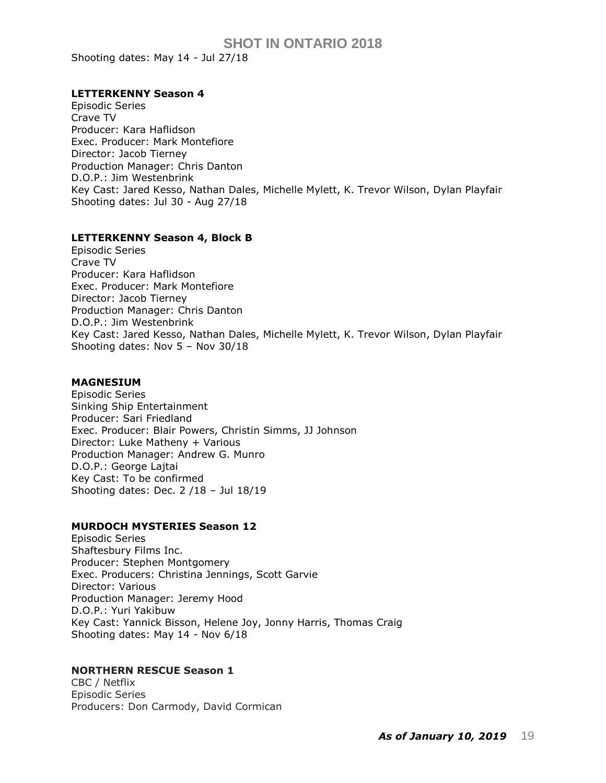Shooting dates: May 14 - Jul 27/18

## **LETTERKENNY Season 4**

Episodic Series Crave TV Producer: Kara Haflidson Exec. Producer: Mark Montefiore Director: Jacob Tierney Production Manager: Chris Danton D.O.P.: Jim Westenbrink Key Cast: Jared Kesso, Nathan Dales, [Michelle Mylett,](https://pro.imdb.com/name/nm5572919/) K. Trevor Wilson, Dylan Playfair Shooting dates: Jul 30 - Aug 27/18

## **LETTERKENNY Season 4, Block B**

Episodic Series Crave TV Producer: Kara Haflidson Exec. Producer: Mark Montefiore Director: Jacob Tierney Production Manager: Chris Danton D.O.P.: Jim Westenbrink Key Cast: Jared Kesso, Nathan Dales, [Michelle Mylett,](https://pro.imdb.com/name/nm5572919/) K. Trevor Wilson, Dylan Playfair Shooting dates: Nov 5 – Nov 30/18

## **MAGNESIUM**

Episodic Series Sinking Ship Entertainment Producer: Sari Friedland Exec. Producer: Blair Powers, Christin Simms, JJ Johnson Director: Luke Matheny + Various Production Manager: Andrew G. Munro D.O.P.: George Lajtai Key Cast: To be confirmed Shooting dates: Dec. 2 /18 – Jul 18/19

# **MURDOCH MYSTERIES Season 12**

Episodic Series Shaftesbury Films Inc. Producer: Stephen Montgomery Exec. Producers: Christina Jennings, Scott Garvie Director: Various Production Manager: Jeremy Hood D.O.P.: Yuri Yakibuw Key Cast: Yannick Bisson, Helene Joy, Jonny Harris, Thomas Craig Shooting dates: May 14 - Nov 6/18

# **NORTHERN RESCUE Season 1**

CBC / Netflix Episodic Series Producers: Don Carmody, David Cormican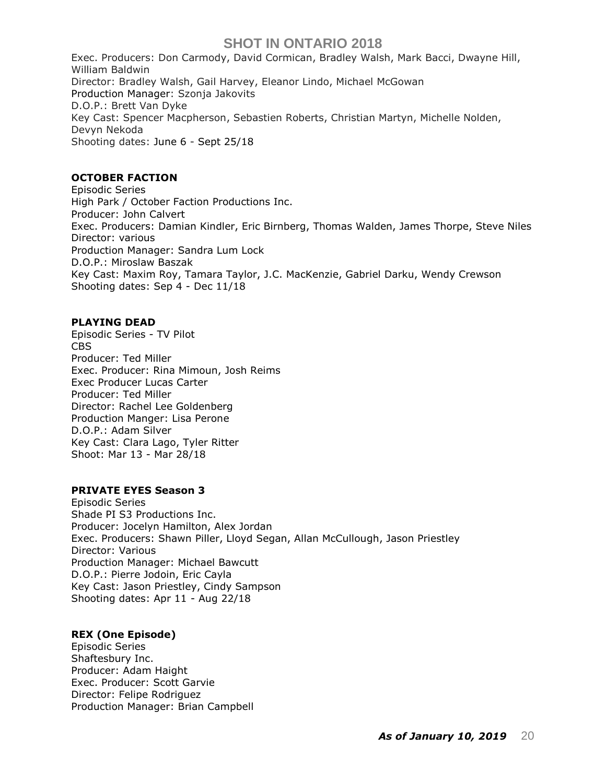Exec. Producers: Don Carmody, David Cormican, Bradley Walsh, Mark Bacci, Dwayne Hill, William Baldwin Director: Bradley Walsh, Gail Harvey, Eleanor Lindo, Michael McGowan Production Manager: Szonja Jakovits D.O.P.: Brett Van Dyke Key Cast: [Spencer Macpherson,](https://pro.imdb.com/name/nm6321850/) Sebastien Roberts, Christian Martyn, Michelle Nolden, Devyn Nekoda Shooting dates: June 6 - Sept 25/18

#### **OCTOBER FACTION**

Episodic Series High Park / October Faction Productions Inc. Producer: John Calvert Exec. Producers: Damian Kindler, Eric Birnberg, Thomas Walden, James Thorpe, Steve Niles Director: various Production Manager: Sandra Lum Lock D.O.P.: Miroslaw Baszak Key Cast: [Maxim Roy,](https://www.imdb.com/name/nm0747114/?ref_=tt_ov_st_sm) [Tamara Taylor,](https://www.imdb.com/name/nm0853231/?ref_=tt_ov_st_sm) [J.C. MacKenzie,](https://www.imdb.com/name/nm0533323/?ref_=tt_ov_st_sm) [Gabriel Darku, Wendy Crewson](https://www.imdb.com/name/nm7523016/?ref_=tt_cl_t5)  Shooting dates: Sep 4 - Dec 11/18

## **PLAYING DEAD**

Episodic Series - TV Pilot CBS Producer: Ted Miller Exec. Producer: Rina Mimoun, Josh Reims Exec Producer Lucas Carter Producer: Ted Miller Director: Rachel Lee Goldenberg Production Manger: Lisa Perone D.O.P.: Adam Silver Key Cast: Clara Lago, Tyler Ritter Shoot: Mar 13 - Mar 28/18

# **PRIVATE EYES Season 3**

Episodic Series Shade PI S3 Productions Inc. Producer: Jocelyn Hamilton, Alex Jordan Exec. Producers: Shawn Piller, Lloyd Segan, Allan McCullough, Jason Priestley Director: Various Production Manager: Michael Bawcutt D.O.P.: Pierre Jodoin, Eric Cayla Key Cast: Jason Priestley, Cindy Sampson Shooting dates: Apr 11 - Aug 22/18

# **REX (One Episode)**

Episodic Series Shaftesbury Inc. Producer: Adam Haight Exec. Producer: Scott Garvie Director: Felipe Rodriguez Production Manager: Brian Campbell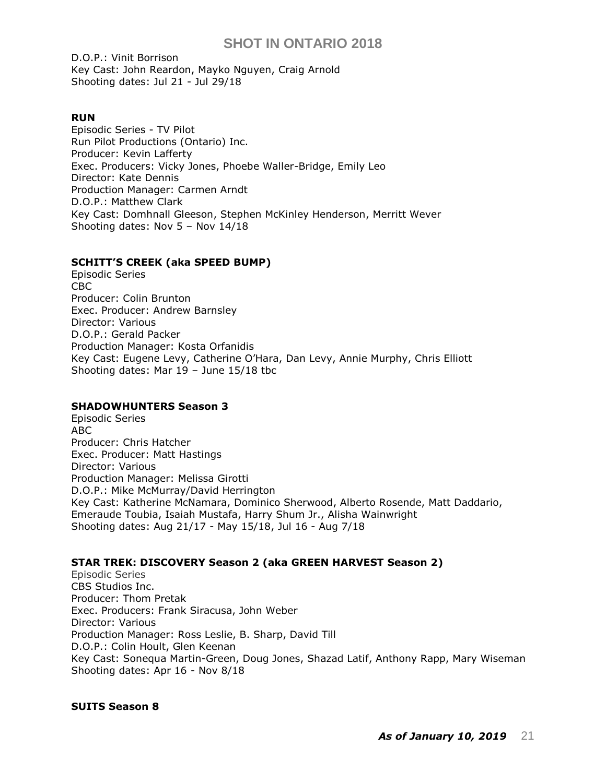D.O.P.: Vinit Borrison Key Cast: [John Reardon,](https://www.imdb.com/name/nm1221622/?ref_=tt_ov_st_sm) [Mayko Nguyen,](https://www.imdb.com/name/nm1534287/?ref_=tt_ov_st_sm) [Craig Arnold](https://www.imdb.com/name/nm3928595/?ref_=tt_ov_st_sm) Shooting dates: Jul 21 - Jul 29/18

#### **RUN**

Episodic Series - TV Pilot Run Pilot Productions (Ontario) Inc. Producer: Kevin Lafferty Exec. Producers: Vicky Jones, Phoebe Waller-Bridge, Emily Leo Director: Kate Dennis Production Manager: Carmen Arndt D.O.P.: Matthew Clark Key Cast: [Domhnall Gleeson,](https://pro.imdb.com/name/nm1727304/) [Stephen McKinley Henderson,](https://pro.imdb.com/name/nm0376610/) [Merritt Wever](https://pro.imdb.com/name/nm0923266/) Shooting dates: Nov 5 – Nov 14/18

## **SCHITT'S CREEK (aka SPEED BUMP)**

Episodic Series CBC Producer: Colin Brunton Exec. Producer: Andrew Barnsley Director: Various D.O.P.: Gerald Packer Production Manager: Kosta Orfanidis Key Cast: Eugene Levy, Catherine O'Hara, Dan Levy, Annie Murphy, Chris Elliott Shooting dates: Mar 19 – June 15/18 tbc

## **SHADOWHUNTERS Season 3**

Episodic Series ABC Producer: Chris Hatcher Exec. Producer: Matt Hastings Director: Various Production Manager: Melissa Girotti D.O.P.: Mike McMurray/David Herrington Key Cast: Katherine McNamara, Dominico Sherwood, Alberto Rosende, Matt Daddario, Emeraude Toubia, Isaiah Mustafa, Harry Shum Jr., Alisha Wainwright Shooting dates: Aug 21/17 - May 15/18, Jul 16 - Aug 7/18

## **STAR TREK: DISCOVERY Season 2 (aka GREEN HARVEST Season 2)**

Episodic Series CBS Studios Inc. Producer: Thom Pretak Exec. Producers: Frank Siracusa, John Weber Director: Various Production Manager: Ross Leslie, B. Sharp, David Till D.O.P.: Colin Hoult, [Glen Keenan](https://pro.imdb.com/name/nm0444643/) Key Cast: [Sonequa Martin-Green,](https://pro.imdb.com/name/nm2792296/) Doug Jones, [Shazad Latif,](https://pro.imdb.com/name/nm3691746/) Anthony Rapp, Mary Wiseman Shooting dates: Apr 16 - Nov 8/18

## **SUITS Season 8**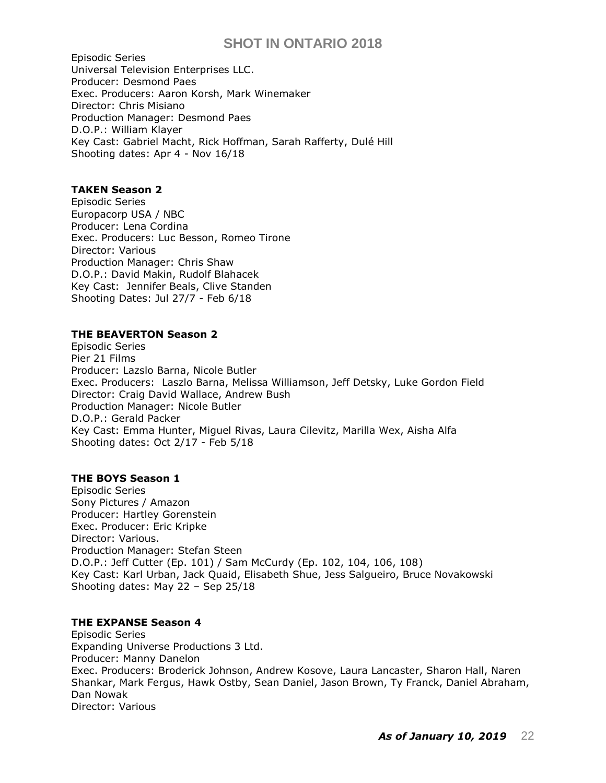Episodic Series Universal Television Enterprises LLC. Producer: Desmond Paes Exec. Producers: Aaron Korsh, Mark Winemaker Director: Chris Misiano Production Manager: Desmond Paes D.O.P.: William Klayer Key Cast: Gabriel Macht, Rick Hoffman, Sarah Rafferty, Dulé Hill Shooting dates: Apr 4 - Nov 16/18

## **TAKEN Season 2**

Episodic Series Europacorp USA / NBC Producer: Lena Cordina Exec. Producers: Luc Besson, Romeo Tirone Director: Various Production Manager: Chris Shaw D.O.P.: David Makin, Rudolf Blahacek Key Cast: Jennifer Beals, Clive Standen Shooting Dates: Jul 27/7 - Feb 6/18

## **THE BEAVERTON Season 2**

Episodic Series Pier 21 Films Producer: Lazslo Barna, Nicole Butler Exec. Producers: Laszlo Barna, Melissa Williamson, Jeff Detsky, Luke Gordon Field Director: Craig David Wallace, Andrew Bush Production Manager: Nicole Butler D.O.P.: Gerald Packer Key Cast: Emma Hunter, Miguel Rivas, Laura Cilevitz, Marilla Wex, [Aisha Alfa](https://pro.imdb.com/name/nm4127156/) Shooting dates: Oct 2/17 - Feb 5/18

# **THE BOYS Season 1**

Episodic Series Sony Pictures / Amazon Producer: Hartley Gorenstein Exec. Producer: Eric Kripke Director: Various. Production Manager: Stefan Steen D.O.P.: Jeff Cutter (Ep. 101) / Sam McCurdy (Ep. 102, 104, 106, 108) Key Cast: Karl Urban, Jack Quaid, Elisabeth Shue, Jess Salgueiro, Bruce Novakowski Shooting dates: May 22 – Sep 25/18

## **THE EXPANSE Season 4**

Episodic Series Expanding Universe Productions 3 Ltd. Producer: Manny Danelon Exec. Producers: Broderick Johnson, Andrew Kosove, Laura Lancaster, Sharon Hall, Naren Shankar, Mark Fergus, Hawk Ostby, Sean Daniel, Jason Brown, Ty Franck, Daniel Abraham, Dan Nowak Director: Various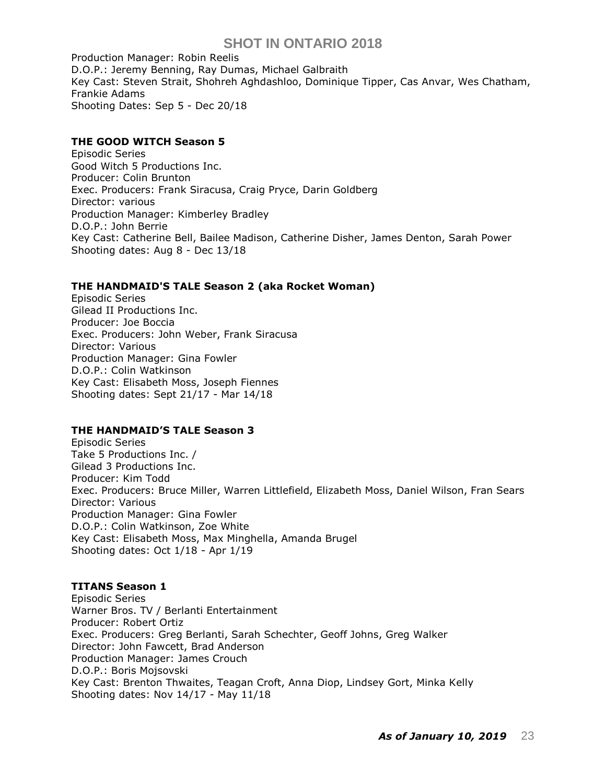Production Manager: Robin Reelis D.O.P.: [Jeremy Benning,](https://pro.imdb.com/name/nm0004150/) Ray Dumas, Michael Galbraith Key Cast: Steven Strait, Shohreh Aghdashloo, Dominique Tipper, Cas Anvar, Wes Chatham, Frankie Adams Shooting Dates: Sep 5 - Dec 20/18

# **THE GOOD WITCH Season 5**

Episodic Series Good Witch 5 Productions Inc. Producer: Colin Brunton Exec. Producers: Frank Siracusa, Craig Pryce, Darin Goldberg Director: various Production Manager: Kimberley Bradley D.O.P.: John Berrie Key Cast: Catherine Bell, Bailee Madison, Catherine Disher, James Denton, Sarah Power Shooting dates: Aug 8 - Dec 13/18

# **THE HANDMAID'S TALE Season 2 (aka Rocket Woman)**

Episodic Series Gilead II Productions Inc. Producer: Joe Boccia Exec. Producers: John Weber, Frank Siracusa Director: Various Production Manager: Gina Fowler D.O.P.: Colin Watkinson Key Cast: Elisabeth Moss, Joseph Fiennes Shooting dates: Sept 21/17 - Mar 14/18

# **THE HANDMAID'S TALE Season 3**

Episodic Series Take 5 Productions Inc. / Gilead 3 Productions Inc. Producer: Kim Todd Exec. Producers: Bruce Miller, Warren Littlefield, Elizabeth Moss, Daniel Wilson, Fran Sears Director: Various Production Manager: Gina Fowler D.O.P.: Colin Watkinson, Zoe White Key Cast: Elisabeth Moss, [Max Minghella,](https://pro.imdb.com/name/nm1540404/) [Amanda Brugel](https://pro.imdb.com/name/nm0115760/) Shooting dates: Oct 1/18 - Apr 1/19

# **TITANS Season 1**

Episodic Series Warner Bros. TV / Berlanti Entertainment Producer: Robert Ortiz Exec. Producers: Greg Berlanti, Sarah Schechter, Geoff Johns, Greg Walker Director: John Fawcett, Brad Anderson Production Manager: James Crouch D.O.P.: Boris Mojsovski Key Cast: Brenton Thwaites, Teagan Croft, Anna Diop, Lindsey Gort, Minka Kelly Shooting dates: Nov 14/17 - May 11/18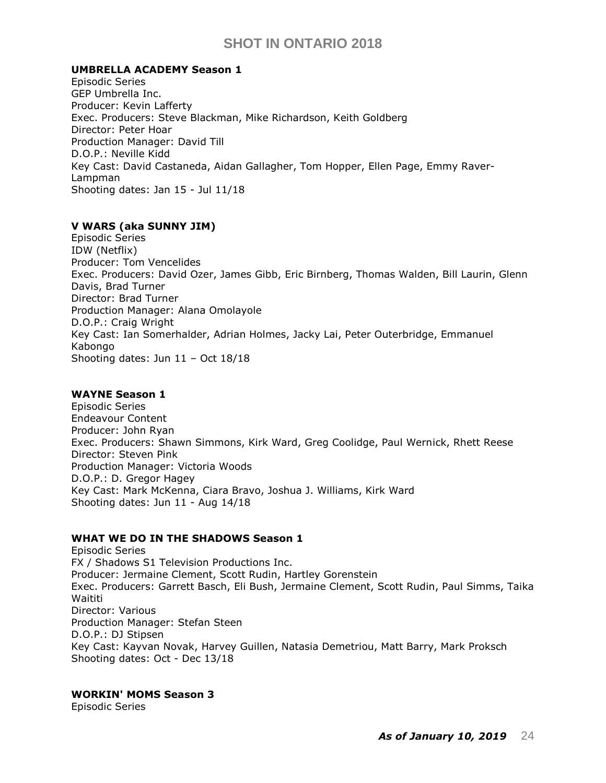## **UMBRELLA ACADEMY Season 1**

Episodic Series GEP Umbrella Inc. Producer: Kevin Lafferty Exec. Producers: Steve Blackman, Mike Richardson, Keith Goldberg Director: Peter Hoar Production Manager: David Till D.O.P.: Neville Kidd Key Cast: [David Castaneda,](https://pro-labs.imdb.com/name/nm3244078/?ref_=tt_cst_1) [Aidan Gallagher,](https://pro-labs.imdb.com/name/nm6200897/?ref_=tt_cst_2) [Tom Hopper,](https://pro-labs.imdb.com/name/nm2584392/?ref_=tt_cst_3) [Ellen Page,](https://pro-labs.imdb.com/name/nm0680983/?ref_=tt_cst_4) [Emmy Raver-](https://pro-labs.imdb.com/name/nm8287501/?ref_=tt_cst_5)[Lampman](https://pro-labs.imdb.com/name/nm8287501/?ref_=tt_cst_5) Shooting dates: Jan 15 - Jul 11/18

## **V WARS (aka SUNNY JIM)**

Episodic Series IDW (Netflix) Producer: Tom Vencelides Exec. Producers: David Ozer, James Gibb, Eric Birnberg, Thomas Walden, Bill Laurin, Glenn Davis, Brad Turner Director: Brad Turner Production Manager: Alana Omolayole D.O.P.: Craig Wright Key Cast: Ian Somerhalder, Adrian Holmes, Jacky Lai, Peter Outerbridge, Emmanuel Kabongo Shooting dates: Jun 11 – Oct 18/18

## **WAYNE Season 1**

Episodic Series Endeavour Content Producer: John Ryan Exec. Producers: Shawn Simmons, Kirk Ward, Greg Coolidge, Paul Wernick, Rhett Reese Director: Steven Pink Production Manager: Victoria Woods D.O.P.: D. Gregor Hagey Key Cast: Mark McKenna, Ciara Bravo, Joshua J. Williams, Kirk Ward Shooting dates: Jun 11 - Aug 14/18

## **WHAT WE DO IN THE SHADOWS Season 1**

Episodic Series FX / Shadows S1 Television Productions Inc. Producer: Jermaine Clement, Scott Rudin, Hartley Gorenstein Exec. Producers: [Garrett Basch,](https://pro.imdb.com/name/nm1440825/) Eli Bush, Jermaine Clement, Scott Rudin, Paul Simms, Taika Waititi Director: Various Production Manager: Stefan Steen D.O.P.: DJ Stipsen Key Cast: [Kayvan Novak,](https://pro.imdb.com/name/nm1315378/) [Harvey Guillen,](https://pro.imdb.com/name/nm2957490/) Natasia Demetriou, Matt Barry, Mark Proksch Shooting dates: Oct - Dec 13/18

## **WORKIN' MOMS Season 3**

Episodic Series